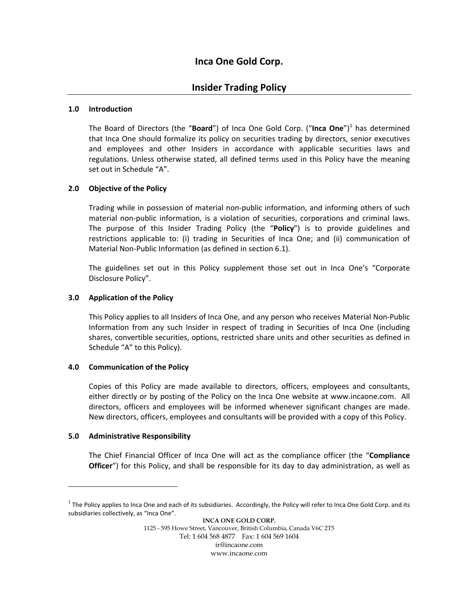# **Inca One Gold Corp.**

# **Insider Trading Policy**

### **1.0 Introduction**

The Board of Directors (the "Board") of Inca One Gold Corp. ("Inca One")<sup>1</sup> has determined that Inca One should formalize its policy on securities trading by directors, senior executives and employees and other Insiders in accordance with applicable securities laws and regulations. Unless otherwise stated, all defined terms used in this Policy have the meaning set out in Schedule "A".

### **2.0 Objective of the Policy**

Trading while in possession of material non‐public information, and informing others of such material non‐public information, is a violation of securities, corporations and criminal laws. The purpose of this Insider Trading Policy (the "**Policy**") is to provide guidelines and restrictions applicable to: (i) trading in Securities of Inca One; and (ii) communication of Material Non‐Public Information (as defined in section 6.1).

The guidelines set out in this Policy supplement those set out in Inca One's "Corporate Disclosure Policy".

#### **3.0 Application of the Policy**

This Policy applies to all Insiders of Inca One, and any person who receives Material Non‐Public Information from any such Insider in respect of trading in Securities of Inca One (including shares, convertible securities, options, restricted share units and other securities as defined in Schedule "A" to this Policy).

#### **4.0 Communication of the Policy**

Copies of this Policy are made available to directors, officers, employees and consultants, either directly or by posting of the Policy on the Inca One website at www.incaone.com. All directors, officers and employees will be informed whenever significant changes are made. New directors, officers, employees and consultants will be provided with a copy of this Policy.

### **5.0 Administrative Responsibility**

 $\overline{a}$ 

The Chief Financial Officer of Inca One will act as the compliance officer (the "**Compliance Officer**") for this Policy, and shall be responsible for its day to day administration, as well as

 $1$  The Policy applies to Inca One and each of its subsidiaries. Accordingly, the Policy will refer to Inca One Gold Corp. and its subsidiaries collectively, as "Inca One".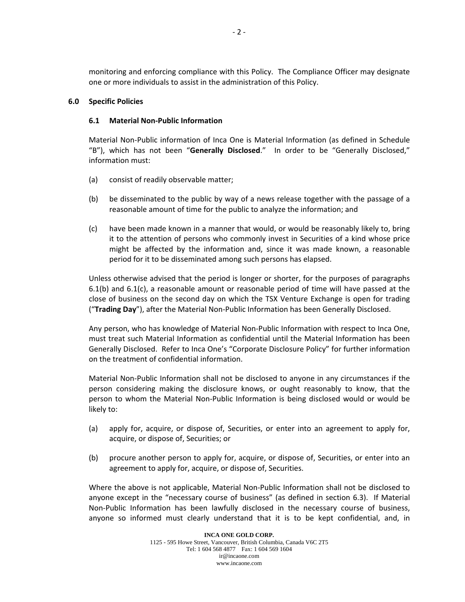monitoring and enforcing compliance with this Policy. The Compliance Officer may designate one or more individuals to assist in the administration of this Policy.

#### **6.0 Specific Policies**

#### **6.1 Material Non‐Public Information**

Material Non‐Public information of Inca One is Material Information (as defined in Schedule "B"), which has not been "**Generally Disclosed**." In order to be "Generally Disclosed," information must:

- (a) consist of readily observable matter;
- (b) be disseminated to the public by way of a news release together with the passage of a reasonable amount of time for the public to analyze the information; and
- (c) have been made known in a manner that would, or would be reasonably likely to, bring it to the attention of persons who commonly invest in Securities of a kind whose price might be affected by the information and, since it was made known, a reasonable period for it to be disseminated among such persons has elapsed.

Unless otherwise advised that the period is longer or shorter, for the purposes of paragraphs 6.1(b) and 6.1(c), a reasonable amount or reasonable period of time will have passed at the close of business on the second day on which the TSX Venture Exchange is open for trading ("**Trading Day**"), after the Material Non‐Public Information has been Generally Disclosed.

Any person, who has knowledge of Material Non‐Public Information with respect to Inca One, must treat such Material Information as confidential until the Material Information has been Generally Disclosed. Refer to Inca One's "Corporate Disclosure Policy" for further information on the treatment of confidential information.

Material Non‐Public Information shall not be disclosed to anyone in any circumstances if the person considering making the disclosure knows, or ought reasonably to know, that the person to whom the Material Non‐Public Information is being disclosed would or would be likely to:

- (a) apply for, acquire, or dispose of, Securities, or enter into an agreement to apply for, acquire, or dispose of, Securities; or
- (b) procure another person to apply for, acquire, or dispose of, Securities, or enter into an agreement to apply for, acquire, or dispose of, Securities.

Where the above is not applicable, Material Non-Public Information shall not be disclosed to anyone except in the "necessary course of business" (as defined in section 6.3). If Material Non‐Public Information has been lawfully disclosed in the necessary course of business, anyone so informed must clearly understand that it is to be kept confidential, and, in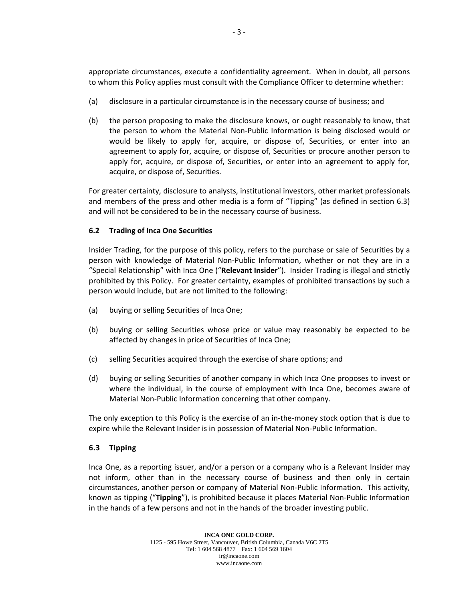appropriate circumstances, execute a confidentiality agreement. When in doubt, all persons to whom this Policy applies must consult with the Compliance Officer to determine whether:

- (a) disclosure in a particular circumstance is in the necessary course of business; and
- (b) the person proposing to make the disclosure knows, or ought reasonably to know, that the person to whom the Material Non‐Public Information is being disclosed would or would be likely to apply for, acquire, or dispose of, Securities, or enter into an agreement to apply for, acquire, or dispose of, Securities or procure another person to apply for, acquire, or dispose of, Securities, or enter into an agreement to apply for, acquire, or dispose of, Securities.

For greater certainty, disclosure to analysts, institutional investors, other market professionals and members of the press and other media is a form of "Tipping" (as defined in section 6.3) and will not be considered to be in the necessary course of business.

### **6.2 Trading of Inca One Securities**

Insider Trading, for the purpose of this policy, refers to the purchase or sale of Securities by a person with knowledge of Material Non‐Public Information, whether or not they are in a "Special Relationship" with Inca One ("**Relevant Insider**"). Insider Trading is illegal and strictly prohibited by this Policy. For greater certainty, examples of prohibited transactions by such a person would include, but are not limited to the following:

- (a) buying or selling Securities of Inca One;
- (b) buying or selling Securities whose price or value may reasonably be expected to be affected by changes in price of Securities of Inca One;
- (c) selling Securities acquired through the exercise of share options; and
- (d) buying or selling Securities of another company in which Inca One proposes to invest or where the individual, in the course of employment with Inca One, becomes aware of Material Non‐Public Information concerning that other company.

The only exception to this Policy is the exercise of an in-the-money stock option that is due to expire while the Relevant Insider is in possession of Material Non‐Public Information.

## **6.3 Tipping**

Inca One, as a reporting issuer, and/or a person or a company who is a Relevant Insider may not inform, other than in the necessary course of business and then only in certain circumstances, another person or company of Material Non‐Public Information. This activity, known as tipping ("**Tipping**"), is prohibited because it places Material Non‐Public Information in the hands of a few persons and not in the hands of the broader investing public.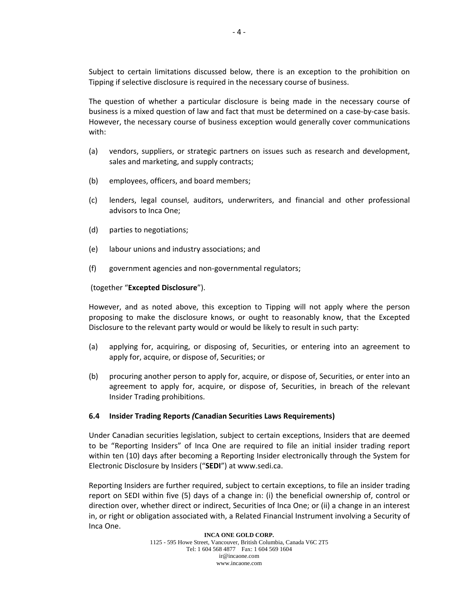Subject to certain limitations discussed below, there is an exception to the prohibition on Tipping if selective disclosure is required in the necessary course of business.

The question of whether a particular disclosure is being made in the necessary course of business is a mixed question of law and fact that must be determined on a case‐by‐case basis. However, the necessary course of business exception would generally cover communications with:

- (a) vendors, suppliers, or strategic partners on issues such as research and development, sales and marketing, and supply contracts;
- (b) employees, officers, and board members;
- (c) lenders, legal counsel, auditors, underwriters, and financial and other professional advisors to Inca One;
- (d) parties to negotiations;
- (e) labour unions and industry associations; and
- (f) government agencies and non‐governmental regulators;

#### (together "**Excepted Disclosure**").

However, and as noted above, this exception to Tipping will not apply where the person proposing to make the disclosure knows, or ought to reasonably know, that the Excepted Disclosure to the relevant party would or would be likely to result in such party:

- (a) applying for, acquiring, or disposing of, Securities, or entering into an agreement to apply for, acquire, or dispose of, Securities; or
- (b) procuring another person to apply for, acquire, or dispose of, Securities, or enter into an agreement to apply for, acquire, or dispose of, Securities, in breach of the relevant Insider Trading prohibitions.

#### **6.4 Insider Trading Reports** *(***Canadian Securities Laws Requirements)**

Under Canadian securities legislation, subject to certain exceptions, Insiders that are deemed to be "Reporting Insiders" of Inca One are required to file an initial insider trading report within ten (10) days after becoming a Reporting Insider electronically through the System for Electronic Disclosure by Insiders ("**SEDI**") at www.sedi.ca.

Reporting Insiders are further required, subject to certain exceptions, to file an insider trading report on SEDI within five (5) days of a change in: (i) the beneficial ownership of, control or direction over, whether direct or indirect, Securities of Inca One; or (ii) a change in an interest in, or right or obligation associated with, a Related Financial Instrument involving a Security of Inca One.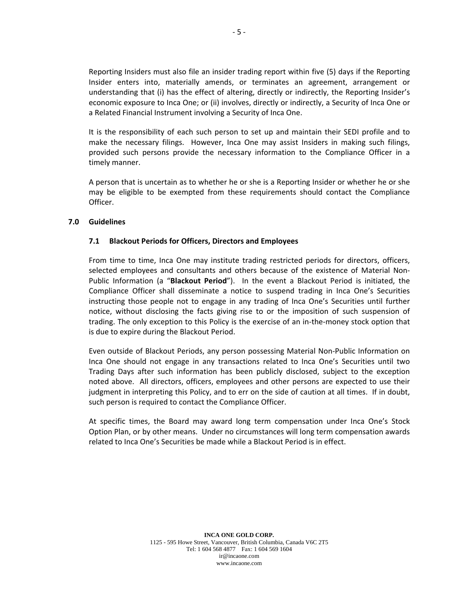Reporting Insiders must also file an insider trading report within five (5) days if the Reporting Insider enters into, materially amends, or terminates an agreement, arrangement or understanding that (i) has the effect of altering, directly or indirectly, the Reporting Insider's economic exposure to Inca One; or (ii) involves, directly or indirectly, a Security of Inca One or a Related Financial Instrument involving a Security of Inca One.

It is the responsibility of each such person to set up and maintain their SEDI profile and to make the necessary filings. However, Inca One may assist Insiders in making such filings, provided such persons provide the necessary information to the Compliance Officer in a timely manner.

A person that is uncertain as to whether he or she is a Reporting Insider or whether he or she may be eligible to be exempted from these requirements should contact the Compliance Officer.

#### **7.0 Guidelines**

#### **7.1 Blackout Periods for Officers, Directors and Employees**

From time to time, Inca One may institute trading restricted periods for directors, officers, selected employees and consultants and others because of the existence of Material Non‐ Public Information (a "**Blackout Period**"). In the event a Blackout Period is initiated, the Compliance Officer shall disseminate a notice to suspend trading in Inca One's Securities instructing those people not to engage in any trading of Inca One's Securities until further notice, without disclosing the facts giving rise to or the imposition of such suspension of trading. The only exception to this Policy is the exercise of an in-the-money stock option that is due to expire during the Blackout Period.

Even outside of Blackout Periods, any person possessing Material Non‐Public Information on Inca One should not engage in any transactions related to Inca One's Securities until two Trading Days after such information has been publicly disclosed, subject to the exception noted above. All directors, officers, employees and other persons are expected to use their judgment in interpreting this Policy, and to err on the side of caution at all times. If in doubt, such person is required to contact the Compliance Officer.

At specific times, the Board may award long term compensation under Inca One's Stock Option Plan, or by other means. Under no circumstances will long term compensation awards related to Inca One's Securities be made while a Blackout Period is in effect.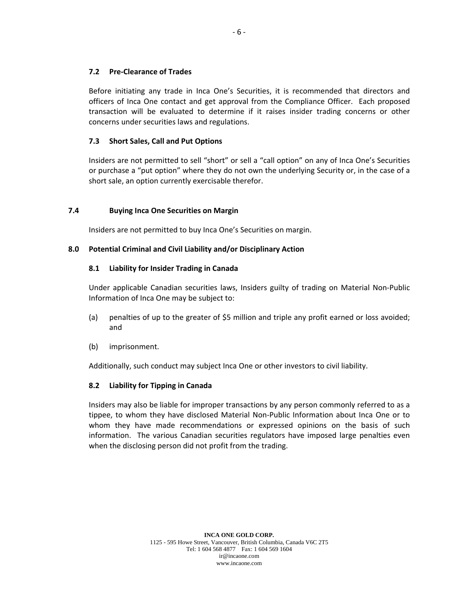#### **7.2 Pre‐Clearance of Trades**

Before initiating any trade in Inca One's Securities, it is recommended that directors and officers of Inca One contact and get approval from the Compliance Officer. Each proposed transaction will be evaluated to determine if it raises insider trading concerns or other concerns under securities laws and regulations.

#### **7.3 Short Sales, Call and Put Options**

Insiders are not permitted to sell "short" or sell a "call option" on any of Inca One's Securities or purchase a "put option" where they do not own the underlying Security or, in the case of a short sale, an option currently exercisable therefor.

#### **7.4 Buying Inca One Securities on Margin**

Insiders are not permitted to buy Inca One's Securities on margin.

#### **8.0 Potential Criminal and Civil Liability and/or Disciplinary Action**

#### **8.1 Liability for Insider Trading in Canada**

Under applicable Canadian securities laws, Insiders guilty of trading on Material Non‐Public Information of Inca One may be subject to:

- (a) penalties of up to the greater of \$5 million and triple any profit earned or loss avoided; and
- (b) imprisonment.

Additionally, such conduct may subject Inca One or other investors to civil liability.

### **8.2 Liability for Tipping in Canada**

Insiders may also be liable for improper transactions by any person commonly referred to as a tippee, to whom they have disclosed Material Non‐Public Information about Inca One or to whom they have made recommendations or expressed opinions on the basis of such information. The various Canadian securities regulators have imposed large penalties even when the disclosing person did not profit from the trading.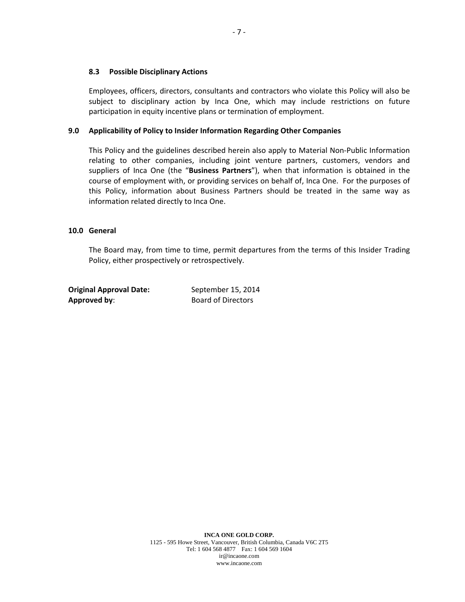#### **8.3 Possible Disciplinary Actions**

Employees, officers, directors, consultants and contractors who violate this Policy will also be subject to disciplinary action by Inca One, which may include restrictions on future participation in equity incentive plans or termination of employment.

#### **9.0 Applicability of Policy to Insider Information Regarding Other Companies**

This Policy and the guidelines described herein also apply to Material Non‐Public Information relating to other companies, including joint venture partners, customers, vendors and suppliers of Inca One (the "**Business Partners**"), when that information is obtained in the course of employment with, or providing services on behalf of, Inca One. For the purposes of this Policy, information about Business Partners should be treated in the same way as information related directly to Inca One.

#### **10.0 General**

The Board may, from time to time, permit departures from the terms of this Insider Trading Policy, either prospectively or retrospectively.

| <b>Original Approval Date:</b> | September 15, 2014        |
|--------------------------------|---------------------------|
| Approved by:                   | <b>Board of Directors</b> |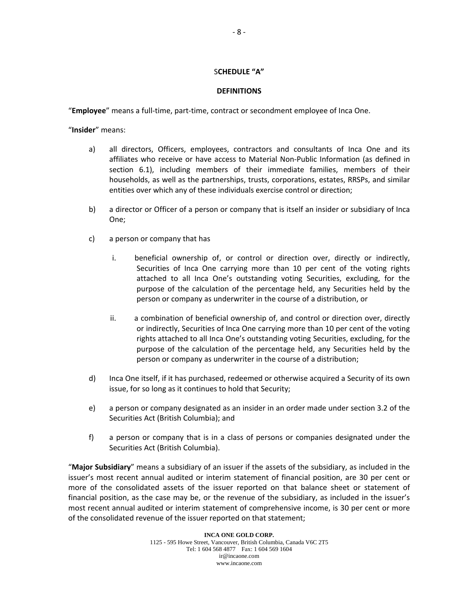#### S**CHEDULE "A"**

#### **DEFINITIONS**

"**Employee**" means a full‐time, part‐time, contract or secondment employee of Inca One.

"**Insider**" means:

- a) all directors, Officers, employees, contractors and consultants of Inca One and its affiliates who receive or have access to Material Non‐Public Information (as defined in section 6.1), including members of their immediate families, members of their households, as well as the partnerships, trusts, corporations, estates, RRSPs, and similar entities over which any of these individuals exercise control or direction;
- b) a director or Officer of a person or company that is itself an insider or subsidiary of Inca One;
- c) a person or company that has
	- i. beneficial ownership of, or control or direction over, directly or indirectly, Securities of Inca One carrying more than 10 per cent of the voting rights attached to all Inca One's outstanding voting Securities, excluding, for the purpose of the calculation of the percentage held, any Securities held by the person or company as underwriter in the course of a distribution, or
	- ii. a combination of beneficial ownership of, and control or direction over, directly or indirectly, Securities of Inca One carrying more than 10 per cent of the voting rights attached to all Inca One's outstanding voting Securities, excluding, for the purpose of the calculation of the percentage held, any Securities held by the person or company as underwriter in the course of a distribution;
- d) Inca One itself, if it has purchased, redeemed or otherwise acquired a Security of its own issue, for so long as it continues to hold that Security;
- e) a person or company designated as an insider in an order made under section 3.2 of the Securities Act (British Columbia); and
- f) a person or company that is in a class of persons or companies designated under the Securities Act (British Columbia).

"**Major Subsidiary**" means a subsidiary of an issuer if the assets of the subsidiary, as included in the issuer's most recent annual audited or interim statement of financial position, are 30 per cent or more of the consolidated assets of the issuer reported on that balance sheet or statement of financial position, as the case may be, or the revenue of the subsidiary, as included in the issuer's most recent annual audited or interim statement of comprehensive income, is 30 per cent or more of the consolidated revenue of the issuer reported on that statement;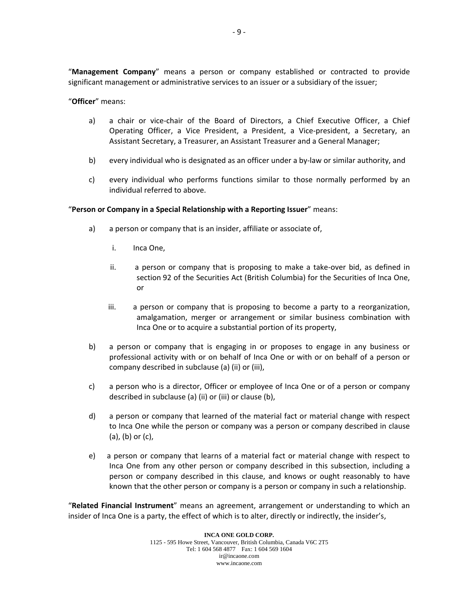"**Management Company**" means a person or company established or contracted to provide significant management or administrative services to an issuer or a subsidiary of the issuer;

#### "**Officer**" means:

- a) a chair or vice‐chair of the Board of Directors, a Chief Executive Officer, a Chief Operating Officer, a Vice President, a President, a Vice‐president, a Secretary, an Assistant Secretary, a Treasurer, an Assistant Treasurer and a General Manager;
- b) every individual who is designated as an officer under a by-law or similar authority, and
- c) every individual who performs functions similar to those normally performed by an individual referred to above.

#### "**Person or Company in a Special Relationship with a Reporting Issuer**" means:

- a) a person or company that is an insider, affiliate or associate of,
	- i. Inca One,
	- ii. a person or company that is proposing to make a take‐over bid, as defined in section 92 of the Securities Act (British Columbia) for the Securities of Inca One, or
	- iii. a person or company that is proposing to become a party to a reorganization, amalgamation, merger or arrangement or similar business combination with Inca One or to acquire a substantial portion of its property,
- b) a person or company that is engaging in or proposes to engage in any business or professional activity with or on behalf of Inca One or with or on behalf of a person or company described in subclause (a) (ii) or (iii),
- c) a person who is a director, Officer or employee of Inca One or of a person or company described in subclause (a) (ii) or (iii) or clause (b),
- d) a person or company that learned of the material fact or material change with respect to Inca One while the person or company was a person or company described in clause (a), (b) or (c),
- e) a person or company that learns of a material fact or material change with respect to Inca One from any other person or company described in this subsection, including a person or company described in this clause, and knows or ought reasonably to have known that the other person or company is a person or company in such a relationship.

"**Related Financial Instrument**" means an agreement, arrangement or understanding to which an insider of Inca One is a party, the effect of which is to alter, directly or indirectly, the insider's,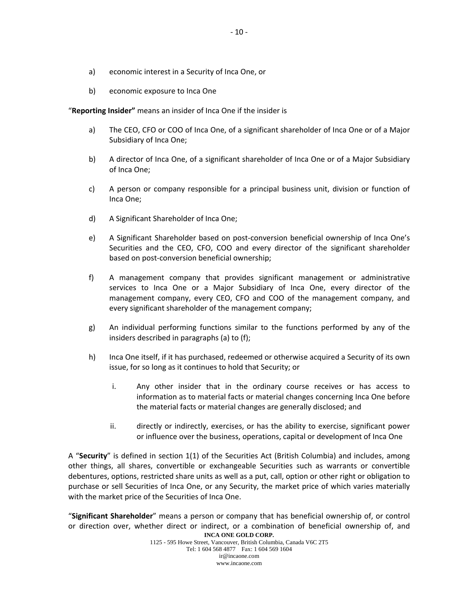- a) economic interest in a Security of Inca One, or
- b) economic exposure to Inca One

"**Reporting Insider"** means an insider of Inca One if the insider is

- a) The CEO, CFO or COO of Inca One, of a significant shareholder of Inca One or of a Major Subsidiary of Inca One;
- b) A director of Inca One, of a significant shareholder of Inca One or of a Major Subsidiary of Inca One;
- c) A person or company responsible for a principal business unit, division or function of Inca One;
- d) A Significant Shareholder of Inca One;
- e) A Significant Shareholder based on post-conversion beneficial ownership of Inca One's Securities and the CEO, CFO, COO and every director of the significant shareholder based on post‐conversion beneficial ownership;
- f) A management company that provides significant management or administrative services to Inca One or a Major Subsidiary of Inca One, every director of the management company, every CEO, CFO and COO of the management company, and every significant shareholder of the management company;
- g) An individual performing functions similar to the functions performed by any of the insiders described in paragraphs (a) to (f);
- h) Inca One itself, if it has purchased, redeemed or otherwise acquired a Security of its own issue, for so long as it continues to hold that Security; or
	- i. Any other insider that in the ordinary course receives or has access to information as to material facts or material changes concerning Inca One before the material facts or material changes are generally disclosed; and
	- ii. directly or indirectly, exercises, or has the ability to exercise, significant power or influence over the business, operations, capital or development of Inca One

A "**Security**" is defined in section 1(1) of the Securities Act (British Columbia) and includes, among other things, all shares, convertible or exchangeable Securities such as warrants or convertible debentures, options, restricted share units as well as a put, call, option or other right or obligation to purchase or sell Securities of Inca One, or any Security, the market price of which varies materially with the market price of the Securities of Inca One.

**INCA ONE GOLD CORP.**  "**Significant Shareholder**" means a person or company that has beneficial ownership of, or control or direction over, whether direct or indirect, or a combination of beneficial ownership of, and

1125 - 595 Howe Street, Vancouver, British Columbia, Canada V6C 2T5 Tel: 1 604 568 4877 Fax: 1 604 569 1604 ir@incaone.com www.incaone.com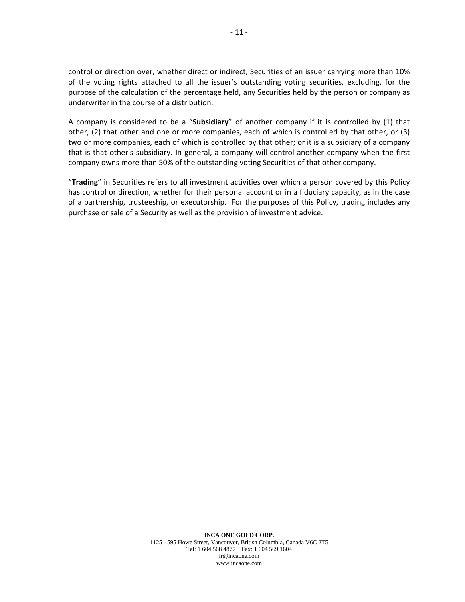control or direction over, whether direct or indirect, Securities of an issuer carrying more than 10% of the voting rights attached to all the issuer's outstanding voting securities, excluding, for the purpose of the calculation of the percentage held, any Securities held by the person or company as underwriter in the course of a distribution.

A company is considered to be a "**Subsidiary**" of another company if it is controlled by (1) that other, (2) that other and one or more companies, each of which is controlled by that other, or (3) two or more companies, each of which is controlled by that other; or it is a subsidiary of a company that is that other's subsidiary. In general, a company will control another company when the first company owns more than 50% of the outstanding voting Securities of that other company.

"**Trading**" in Securities refers to all investment activities over which a person covered by this Policy has control or direction, whether for their personal account or in a fiduciary capacity, as in the case of a partnership, trusteeship, or executorship. For the purposes of this Policy, trading includes any purchase or sale of a Security as well as the provision of investment advice.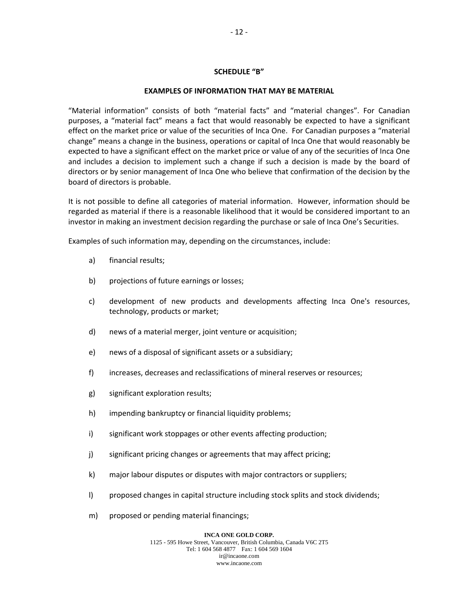#### **SCHEDULE "B"**

#### **EXAMPLES OF INFORMATION THAT MAY BE MATERIAL**

"Material information" consists of both "material facts" and "material changes". For Canadian purposes, a "material fact" means a fact that would reasonably be expected to have a significant effect on the market price or value of the securities of Inca One. For Canadian purposes a "material change" means a change in the business, operations or capital of Inca One that would reasonably be expected to have a significant effect on the market price or value of any of the securities of Inca One and includes a decision to implement such a change if such a decision is made by the board of directors or by senior management of Inca One who believe that confirmation of the decision by the board of directors is probable.

It is not possible to define all categories of material information. However, information should be regarded as material if there is a reasonable likelihood that it would be considered important to an investor in making an investment decision regarding the purchase or sale of Inca One's Securities.

Examples of such information may, depending on the circumstances, include:

- a) financial results;
- b) projections of future earnings or losses;
- c) development of new products and developments affecting Inca One's resources, technology, products or market;
- d) news of a material merger, joint venture or acquisition;
- e) news of a disposal of significant assets or a subsidiary;
- f) increases, decreases and reclassifications of mineral reserves or resources;
- g) significant exploration results;
- h) impending bankruptcy or financial liquidity problems;
- i) significant work stoppages or other events affecting production;
- j) significant pricing changes or agreements that may affect pricing;
- k) major labour disputes or disputes with major contractors or suppliers;
- l) proposed changes in capital structure including stock splits and stock dividends;
- m) proposed or pending material financings;

#### **INCA ONE GOLD CORP.**

1125 - 595 Howe Street, Vancouver, British Columbia, Canada V6C 2T5 Tel: 1 604 568 4877 Fax: 1 604 569 1604 ir@incaone.com www.incaone.com